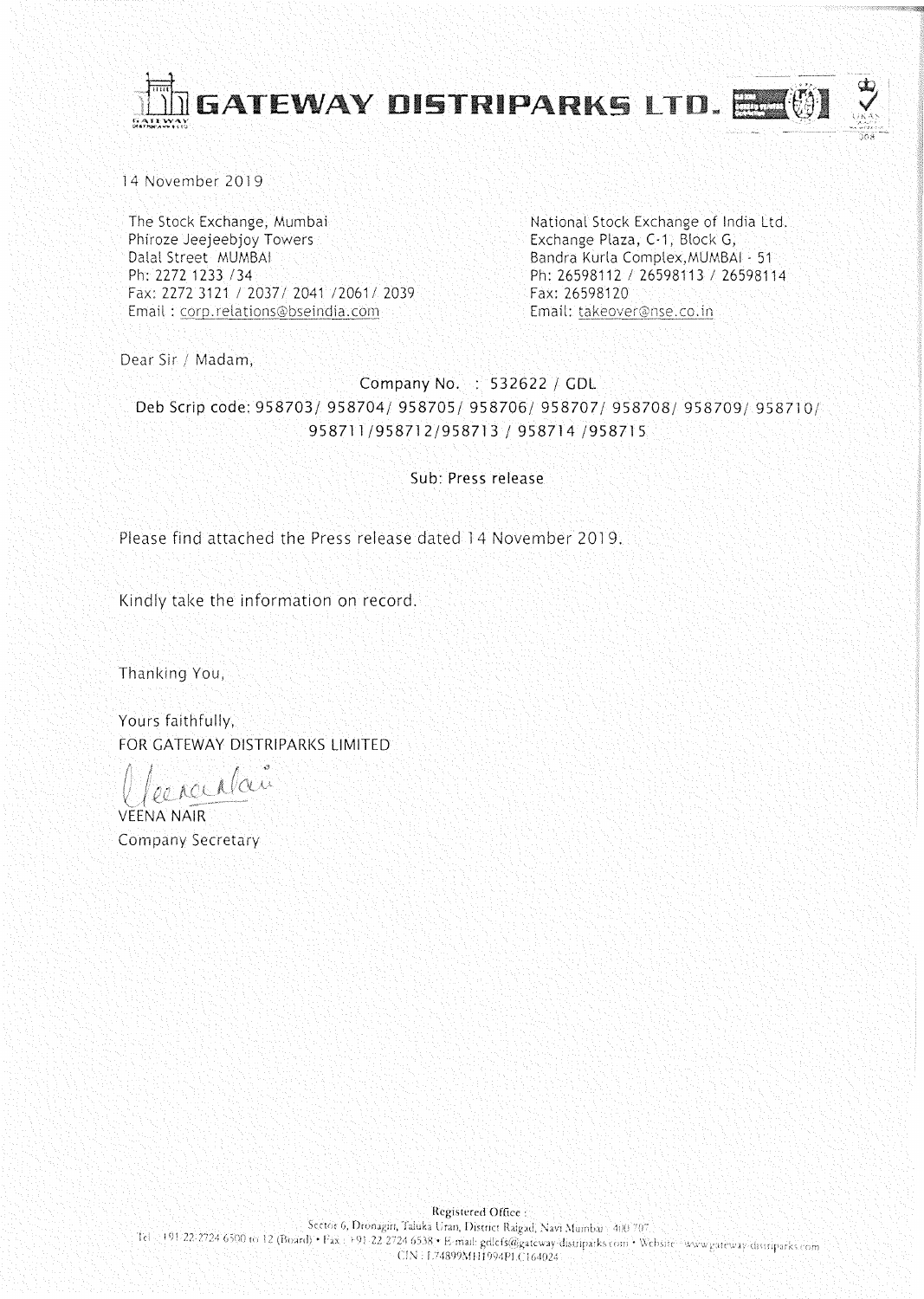

14 November 2019

The Stock Exchange, Mumbai Phiroze Jeejeebjoy Towers Dalal Street MUMBAI Ph: 2272 1233 /34 Fax: 2272 3121 / 2037/ 2041 / 2061/ 2039 Email: corp.relations@bseindia.com

National Stock Exchange of India Ltd. Exchange Plaza, C-1, Block G, Bandra Kurla Complex, MUMBAI - 51 Ph: 26598112 / 26598113 / 26598114 Fax: 26598120 Email: takeover@nse.co.in

Dear Sir / Madam,

Company No. : 532622 / GDL Deb Scrip code: 958703/ 958704/ 958705/ 958706/ 958707/ 958708/ 958709/ 958710/ 958711/958712/958713 / 958714 /958715

Sub: Press release

Please find attached the Press release dated 14 November 2019.

Kindly take the information on record.

Thanking You,

Yours faithfully, FOR GATEWAY DISTRIPARKS LIMITED

percellan

**VEENA NAIR Company Secretary**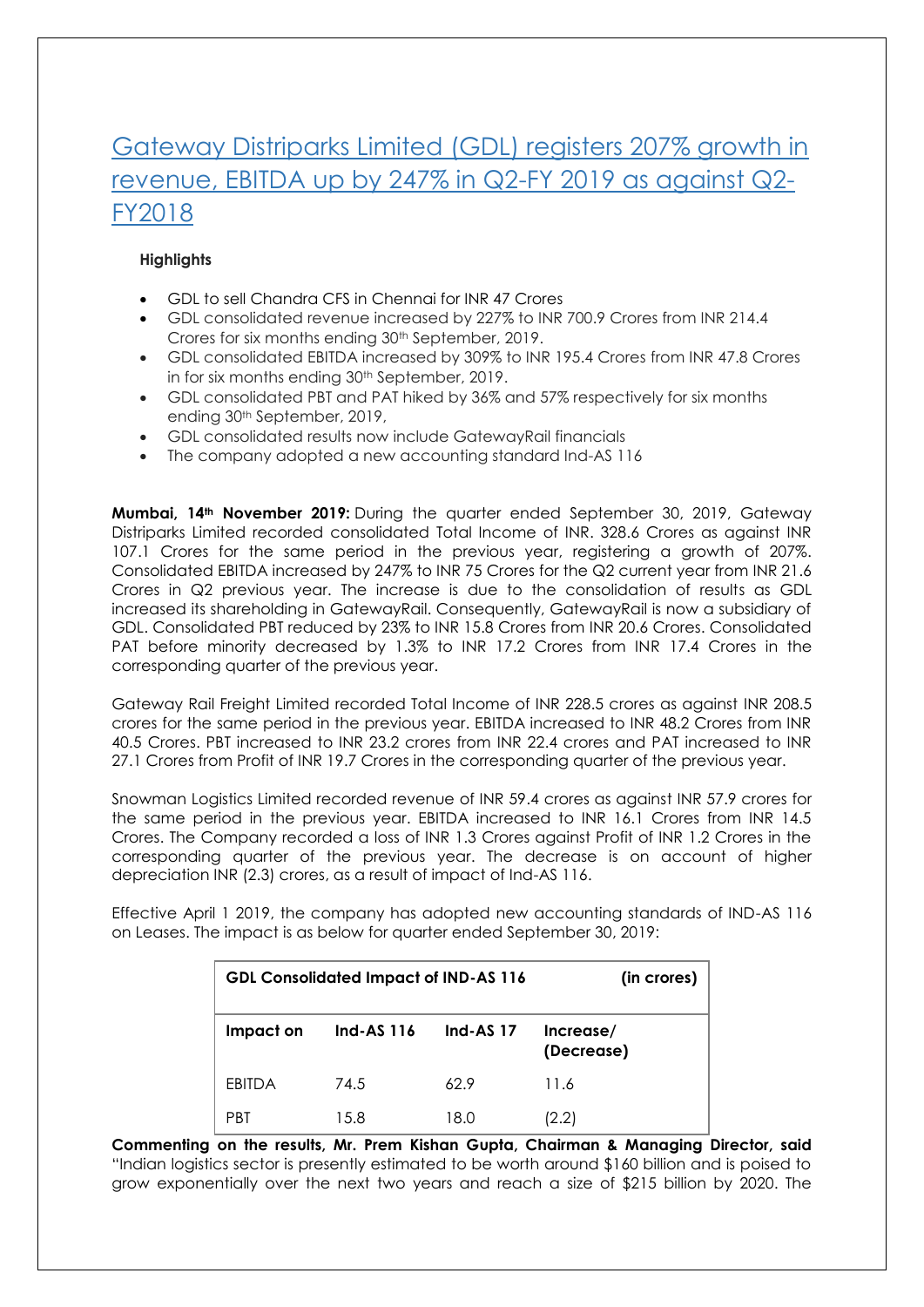## Gateway Distriparks Limited (GDL) registers 207% growth in revenue, EBITDA up by 247% in Q2-FY 2019 as against Q2- FY2018

## **Highlights**

- GDL to sell Chandra CFS in Chennai for INR 47 Crores
- GDL consolidated revenue increased by 227% to INR 700.9 Crores from INR 214.4 Crores for six months ending 30<sup>th</sup> September, 2019.
- GDL consolidated EBITDA increased by 309% to INR 195.4 Crores from INR 47.8 Crores in for six months ending 30<sup>th</sup> September, 2019.
- GDL consolidated PBT and PAT hiked by 36% and 57% respectively for six months ending 30th September, 2019,
- GDL consolidated results now include GatewayRail financials
- The company adopted a new accounting standard Ind-AS 116

**Mumbai, 14th November 2019:** During the quarter ended September 30, 2019, Gateway Distriparks Limited recorded consolidated Total Income of INR. 328.6 Crores as against INR 107.1 Crores for the same period in the previous year, registering a growth of 207%. Consolidated EBITDA increased by 247% to INR 75 Crores for the Q2 current year from INR 21.6 Crores in Q2 previous year. The increase is due to the consolidation of results as GDL increased its shareholding in GatewayRail. Consequently, GatewayRail is now a subsidiary of GDL. Consolidated PBT reduced by 23% to INR 15.8 Crores from INR 20.6 Crores. Consolidated PAT before minority decreased by 1.3% to INR 17.2 Crores from INR 17.4 Crores in the corresponding quarter of the previous year.

Gateway Rail Freight Limited recorded Total Income of INR 228.5 crores as against INR 208.5 crores for the same period in the previous year. EBITDA increased to INR 48.2 Crores from INR 40.5 Crores. PBT increased to INR 23.2 crores from INR 22.4 crores and PAT increased to INR 27.1 Crores from Profit of INR 19.7 Crores in the corresponding quarter of the previous year.

Snowman Logistics Limited recorded revenue of INR 59.4 crores as against INR 57.9 crores for the same period in the previous year. EBITDA increased to INR 16.1 Crores from INR 14.5 Crores. The Company recorded a loss of INR 1.3 Crores against Profit of INR 1.2 Crores in the corresponding quarter of the previous year. The decrease is on account of higher depreciation INR (2.3) crores, as a result of impact of Ind-AS 116.

Effective April 1 2019, the company has adopted new accounting standards of IND-AS 116 on Leases. The impact is as below for quarter ended September 30, 2019:

| <b>GDL Consolidated Impact of IND-AS 116</b> |                   |             | (in crores)             |
|----------------------------------------------|-------------------|-------------|-------------------------|
| Impact on                                    | <b>Ind-AS 116</b> | Ind-AS $17$ | Increase/<br>(Decrease) |
| EBITDA                                       | 74.5              | 62.9        | 11.6                    |
| PBT                                          | 15.8              | 18.0        | (2.2)                   |

**Commenting on the results, Mr. Prem Kishan Gupta, Chairman & Managing Director, said** "Indian logistics sector is presently estimated to be worth around \$160 billion and is poised to grow exponentially over the next two years and reach a size of \$215 billion by 2020. The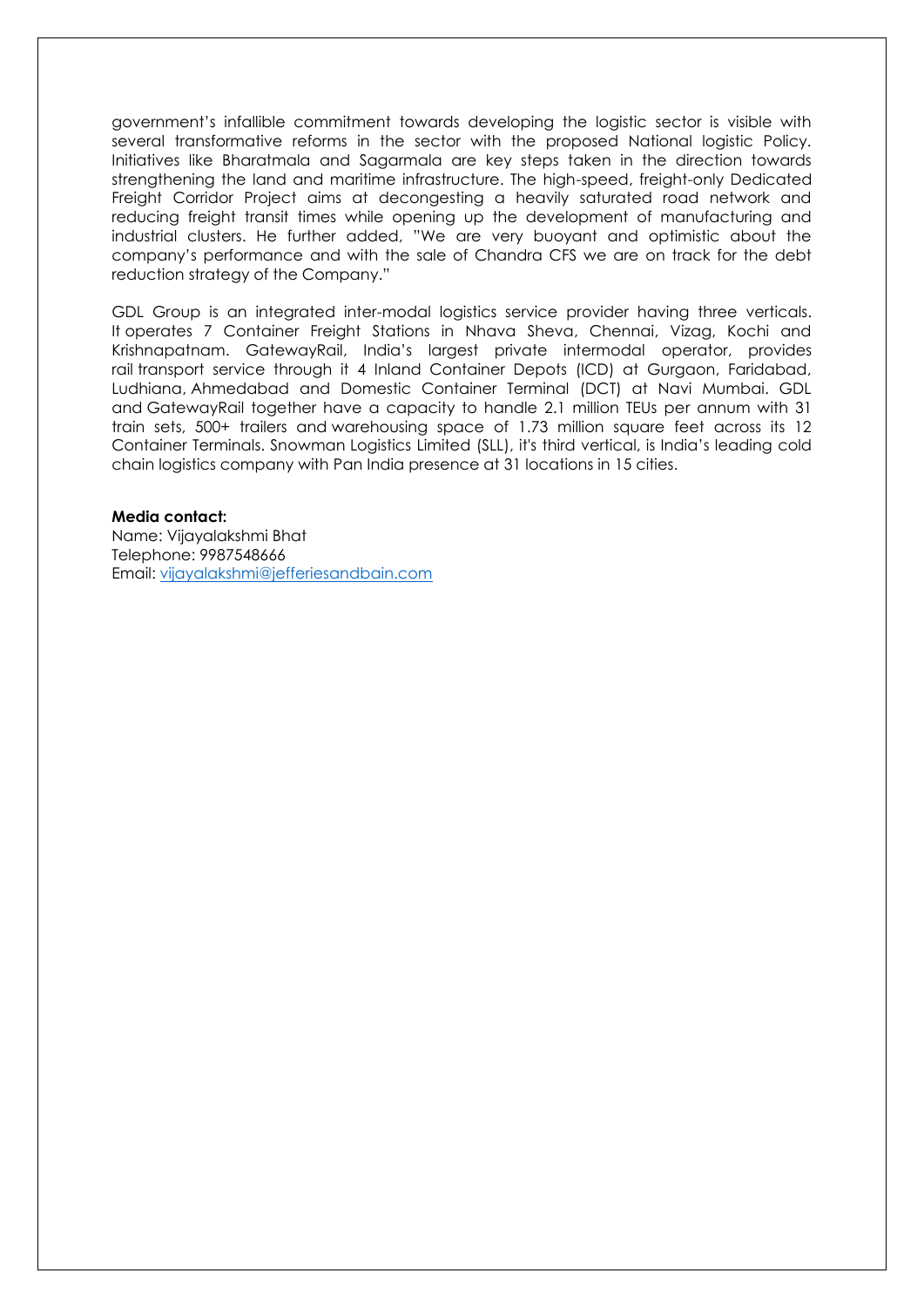government's infallible commitment towards developing the logistic sector is visible with several transformative reforms in the sector with the proposed National logistic Policy. Initiatives like Bharatmala and Sagarmala are key steps taken in the direction towards strengthening the land and maritime infrastructure. The high-speed, freight-only Dedicated Freight Corridor Project aims at decongesting a heavily saturated road network and reducing freight transit times while opening up the development of manufacturing and industrial clusters. He further added, "We are very buoyant and optimistic about the company's performance and with the sale of Chandra CFS we are on track for the debt reduction strategy of the Company."

GDL Group is an integrated inter-modal logistics service provider having three verticals. It operates 7 Container Freight Stations in Nhava Sheva, Chennai, Vizag, Kochi and Krishnapatnam. GatewayRail, India's largest private intermodal operator, provides rail transport service through it 4 Inland Container Depots (ICD) at Gurgaon, Faridabad, Ludhiana, Ahmedabad and Domestic Container Terminal (DCT) at Navi Mumbai. GDL and GatewayRail together have a capacity to handle 2.1 million TEUs per annum with 31 train sets, 500+ trailers and warehousing space of 1.73 million square feet across its 12 Container Terminals. Snowman Logistics Limited (SLL), it's third vertical, is India's leading cold chain logistics company with Pan India presence at 31 locations in 15 cities.

## **Media contact:**

Name: Vijayalakshmi Bhat Telephone: 9987548666 Email: [vijayalakshmi@jefferiesandbain.com](mailto:vijayalakshmi@jefferiesandbain.com)